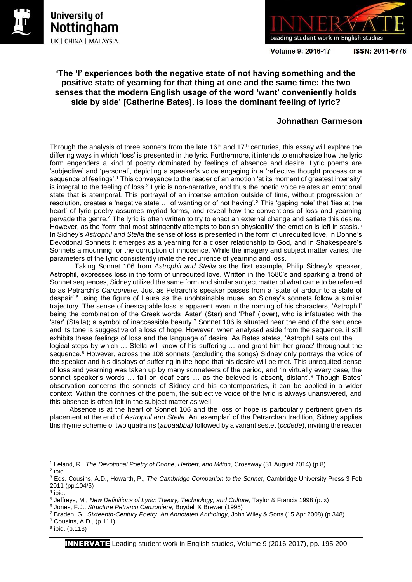



**Volume 9: 2016-17** 

ISSN: 2041-6776

## **'The 'I' experiences both the negative state of not having something and the positive state of yearning for that thing at one and the same time: the two senses that the modern English usage of the word 'want' conveniently holds side by side' [Catherine Bates]. Is loss the dominant feeling of lyric?**

## **Johnathan Garmeson**

Through the analysis of three sonnets from the late  $16<sup>th</sup>$  and  $17<sup>th</sup>$  centuries, this essay will explore the differing ways in which 'loss' is presented in the lyric. Furthermore, it intends to emphasize how the lyric form engenders a kind of poetry dominated by feelings of absence and desire. Lyric poems are 'subjective' and 'personal', depicting a speaker's voice engaging in a 'reflective thought process or a sequence of feelings'.<sup>1</sup> This conveyance to the reader of an emotion 'at its moment of greatest intensity' is integral to the feeling of loss.<sup>2</sup> Lyric is non-narrative, and thus the poetic voice relates an emotional state that is atemporal. This portrayal of an intense emotion outside of time, without progression or resolution, creates a 'negative state … of wanting or of not having'.<sup>3</sup> This 'gaping hole' that 'lies at the heart' of lyric poetry assumes myriad forms, and reveal how the conventions of loss and yearning pervade the genre.<sup>4</sup> The lyric is often written to try to enact an external change and satiate this desire. However, as the 'form that most stringently attempts to banish physicality' the emotion is left in stasis.<sup>5</sup> In Sidney's *Astrophil and Stella* the sense of loss is presented in the form of unrequited love, in Donne's Devotional Sonnets it emerges as a yearning for a closer relationship to God, and in Shakespeare's Sonnets a mourning for the corruption of innocence. While the imagery and subject matter varies, the parameters of the lyric consistently invite the recurrence of yearning and loss.

Taking Sonnet 106 from *Astrophil and Stella* as the first example, Philip Sidney's speaker, Astrophil, expresses loss in the form of unrequited love. Written in the 1580's and sparking a trend of Sonnet sequences, Sidney utilized the same form and similar subject matter of what came to be referred to as Petrarch's *Canzoniere*. Just as Petrarch's speaker passes from a 'state of ardour to a state of despair',<sup>6</sup> using the figure of Laura as the unobtainable muse, so Sidney's sonnets follow a similar trajectory. The sense of inescapable loss is apparent even in the naming of his characters, 'Astrophil' being the combination of the Greek words 'Aster' (Star) and 'Phel' (lover), who is infatuated with the 'star' (Stella); a symbol of inaccessible beauty.<sup>7</sup> Sonnet 106 is situated near the end of the sequence and its tone is suggestive of a loss of hope. However, when analysed aside from the sequence, it still exhibits these feelings of loss and the language of desire. As Bates states, 'Astrophil sets out the … logical steps by which … Stella will know of his suffering … and grant him her grace' throughout the sequence.<sup>8</sup> However, across the 108 sonnets (excluding the songs) Sidney only portrays the voice of the speaker and his displays of suffering in the hope that his desire will be met. This unrequited sense of loss and yearning was taken up by many sonneteers of the period, and 'in virtually every case, the sonnet speaker's words … fall on deaf ears … as the beloved is absent, distant'.<sup>9</sup> Though Bates' observation concerns the sonnets of Sidney and his contemporaries, it can be applied in a wider context. Within the confines of the poem, the subjective voice of the lyric is always unanswered, and this absence is often felt in the subject matter as well.

Absence is at the heart of Sonnet 106 and the loss of hope is particularly pertinent given its placement at the end of *Astrophil and Stella*. An 'exemplar' of the Petrarchan tradition, Sidney applies this rhyme scheme of two quatrains (*abbaabba)* followed by a variant sestet (*ccdede*), inviting the reader

 $\overline{\phantom{a}}$ 

<sup>8</sup> Cousins, A.D., (p.111)

<sup>1</sup> Leland, R., *The Devotional Poetry of Donne, Herbert, and Milton*, Crossway (31 August 2014) (p.8) 2 ibid.

<sup>3</sup> Eds. Cousins, A.D., Howarth, P., *The Cambridge Companion to the Sonnet*, Cambridge University Press 3 Feb 2011 (pp.104/5)

<sup>4</sup> ibid.

<sup>5</sup> Jeffreys, M., *New Definitions of Lyric: Theory, Technology, and Culture*, Taylor & Francis 1998 (p. x)

<sup>6</sup> Jones, F.J., *Structure Petrarch Canzoniere*, Boydell & Brewer (1995)

<sup>7</sup> Braden, G., *Sixteenth-Century Poetry: An Annotated Anthology*, John Wiley & Sons (15 Apr 2008) (p.348)

<sup>&</sup>lt;sup>9</sup> ibid. (p.113)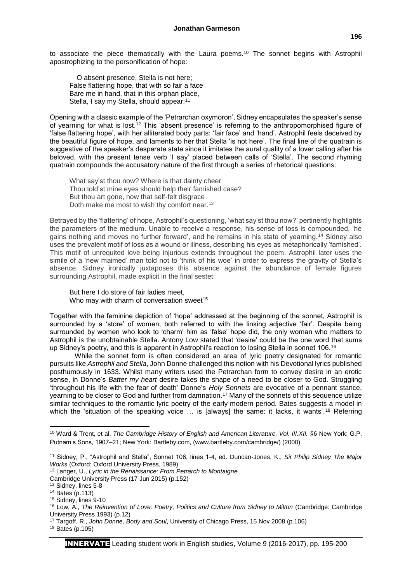to associate the piece thematically with the Laura poems.<sup>10</sup> The sonnet begins with Astrophil apostrophizing to the personification of hope:

O absent presence, Stella is not here; False flattering hope, that with so fair a face Bare me in hand, that in this orphan place, Stella, I say my Stella, should appear:<sup>11</sup>

Opening with a classic example of the 'Petrarchan oxymoron', Sidney encapsulates the speaker's sense of yearning for what is lost.<sup>12</sup> This 'absent presence' is referring to the anthropomorphised figure of 'false flattering hope', with her alliterated body parts: 'fair face' and 'hand'. Astrophil feels deceived by the beautiful figure of hope, and laments to her that Stella 'is not here'. The final line of the quatrain is suggestive of the speaker's desperate state since it imitates the aural quality of a lover calling after his beloved, with the present tense verb 'I say' placed between calls of 'Stella'. The second rhyming quatrain compounds the accusatory nature of the first through a series of rhetorical questions:

What say'st thou now? Where is that dainty cheer Thou told'st mine eyes should help their famished case? But thou art gone, now that self-felt disgrace Doth make me most to wish thy comfort near.<sup>13</sup>

Betrayed by the 'flattering' of hope, Astrophil's questioning, 'what say'st thou now?' pertinently highlights the parameters of the medium. Unable to receive a response, his sense of loss is compounded, 'he gains nothing and moves no further forward', and he remains in his state of yearning.<sup>14</sup> Sidney also uses the prevalent motif of loss as a wound or illness, describing his eyes as metaphorically 'famished'. This motif of unrequited love being injurious extends throughout the poem. Astrophil later uses the simile of a 'new maimed' man told not to 'think of his woe' in order to express the gravity of Stella's absence. Sidney ironically juxtaposes this absence against the abundance of female figures surrounding Astrophil, made explicit in the final sestet:

But here I do store of fair ladies meet, Who may with charm of conversation sweet<sup>15</sup>

Together with the feminine depiction of 'hope' addressed at the beginning of the sonnet, Astrophil is surrounded by a 'store' of women, both referred to with the linking adjective 'fair'. Despite being surrounded by women who look to 'charm' him as 'false' hope did, the only woman who matters to Astrophil is the unobtainable Stella. Antony Low stated that 'desire' could be the one word that sums up Sidney's poetry, and this is apparent in Astrophil's reaction to losing Stella in sonnet 106.<sup>16</sup>

While the sonnet form is often considered an area of lyric poetry designated for romantic pursuits like *Astrophil and Stella*, John Donne challenged this notion with his Devotional lyrics published posthumously in 1633. Whilst many writers used the Petrarchan form to convey desire in an erotic sense, in Donne's *Batter my heart* desire takes the shape of a need to be closer to God. Struggling 'throughout his life with the fear of death' Donne's *Holy Sonnets* are evocative of a pennant stance, yearning to be closer to God and further from damnation.<sup>17</sup> Many of the sonnets of this sequence utilize similar techniques to the romantic lyric poetry of the early modern period. Bates suggests a model in which the 'situation of the speaking voice ... is [always] the same: it lacks, it wants'.<sup>18</sup> Referring

<sup>12</sup> Langer, U., *Lyric in the Renaissance: From Petrarch to Montaigne*

**.** 

<sup>10</sup> Ward & Trent, et al. *The Cambridge History of English and American Literature. Vol. III.XII.* §6 New York: G.P. Putnam's Sons, 1907–21; New York: Bartleby.com, (www.bartleby.com/cambridge/) (2000)

<sup>11</sup> Sidney, P., "Astrophil and Stella", Sonnet 106, lines 1-4, ed. Duncan-Jones, K., *Sir Philip Sidney The Major Works* (Oxford: Oxford University Press, 1989)

Cambridge University Press (17 Jun 2015) (p.152)

<sup>13</sup> Sidney, lines 5-8

<sup>14</sup> Bates (p.113)

 $15$  Sidney, lines 9-10

<sup>16</sup> Low, A., *The Reinvention of Love: Poetry, Politics and Culture from Sidney to Milton* (Cambridge: Cambridge University Press 1993) (p.12)

<sup>17</sup> Targoff, R., *John Donne, Body and Soul*, University of Chicago Press, 15 Nov 2008 (p.106)

<sup>18</sup> Bates (p.105)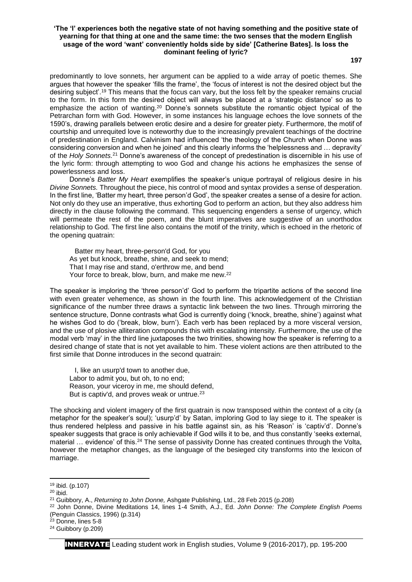## **'The 'I' experiences both the negative state of not having something and the positive state of yearning for that thing at one and the same time: the two senses that the modern English usage of the word 'want' conveniently holds side by side' [Catherine Bates]. Is loss the dominant feeling of lyric?**

**197**

predominantly to love sonnets, her argument can be applied to a wide array of poetic themes. She argues that however the speaker 'fills the frame', the 'focus of interest is not the desired object but the desiring subject'.<sup>19</sup> This means that the focus can vary, but the loss felt by the speaker remains crucial to the form. In this form the desired object will always be placed at a 'strategic distance' so as to emphasize the action of wanting.<sup>20</sup> Donne's sonnets substitute the romantic object typical of the Petrarchan form with God. However, in some instances his language echoes the love sonnets of the 1590's, drawing parallels between erotic desire and a desire for greater piety. Furthermore, the motif of courtship and unrequited love is noteworthy due to the increasingly prevalent teachings of the doctrine of predestination in England. Calvinism had influenced 'the theology of the Church when Donne was considering conversion and when he joined' and this clearly informs the 'helplessness and … depravity' of the *Holy Sonnets.*<sup>21</sup> Donne's awareness of the concept of predestination is discernible in his use of the lyric form: through attempting to woo God and change his actions he emphasizes the sense of powerlessness and loss.

Donne's *Batter My Heart* exemplifies the speaker's unique portrayal of religious desire in his *Divine Sonnets.* Throughout the piece, his control of mood and syntax provides a sense of desperation. In the first line, 'Batter my heart, three person'd God', the speaker creates a sense of a desire for action. Not only do they use an imperative, thus exhorting God to perform an action, but they also address him directly in the clause following the command. This sequencing engenders a sense of urgency, which will permeate the rest of the poem, and the blunt imperatives are suggestive of an unorthodox relationship to God. The first line also contains the motif of the trinity, which is echoed in the rhetoric of the opening quatrain:

Batter my heart, three-person'd God, for you As yet but knock, breathe, shine, and seek to mend; That I may rise and stand, o'erthrow me, and bend Your force to break, blow, burn, and make me new.<sup>22</sup>

The speaker is imploring the 'three person'd' God to perform the tripartite actions of the second line with even greater vehemence, as shown in the fourth line. This acknowledgement of the Christian significance of the number three draws a syntactic link between the two lines. Through mirroring the sentence structure, Donne contrasts what God is currently doing ('knock, breathe, shine') against what he wishes God to do ('break, blow, burn'). Each verb has been replaced by a more visceral version, and the use of plosive alliteration compounds this with escalating intensity. Furthermore, the use of the modal verb 'may' in the third line juxtaposes the two trinities, showing how the speaker is referring to a desired change of state that is not yet available to him. These violent actions are then attributed to the first simile that Donne introduces in the second quatrain:

I, like an usurp'd town to another due, Labor to admit you, but oh, to no end; Reason, your viceroy in me, me should defend, But is captiv'd, and proves weak or untrue.<sup>23</sup>

The shocking and violent imagery of the first quatrain is now transposed within the context of a city (a metaphor for the speaker's soul); 'usurp'd' by Satan, imploring God to lay siege to it. The speaker is thus rendered helpless and passive in his battle against sin, as his 'Reason' is 'captiv'd'. Donne's speaker suggests that grace is only achievable if God wills it to be, and thus constantly 'seeks external, material ... evidence' of this.<sup>24</sup> The sense of passivity Donne has created continues through the Volta, however the metaphor changes, as the language of the besieged city transforms into the lexicon of marriage.

**.** 

<sup>24</sup> Guibbory (p.209)

<sup>19</sup> ibid. (p.107)

 $20$  ibid.

<sup>21</sup> Guibbory, A., *Returning to John Donne,* Ashgate Publishing, Ltd., 28 Feb 2015 (p.208)

<sup>22</sup> John Donne, Divine Meditations 14, lines 1-4 Smith, A.J., Ed. *John Donne: The Complete English Poems*  (Penguin Classics, 1996) (p.314)

<sup>&</sup>lt;sup>23</sup> Donne, lines 5-8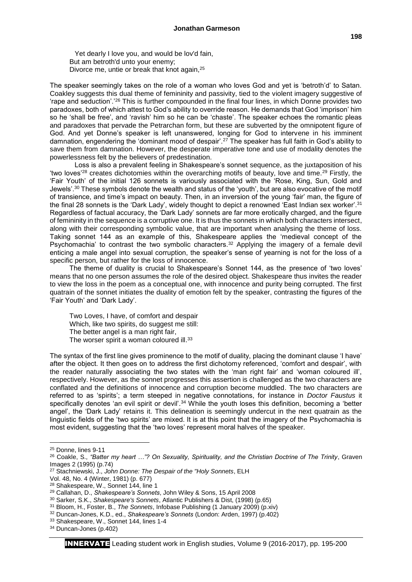Yet dearly I love you, and would be lov'd fain, But am betroth'd unto your enemy; Divorce me, untie or break that knot again,<sup>25</sup>

The speaker seemingly takes on the role of a woman who loves God and yet is 'betroth'd' to Satan. Coakley suggests this dual theme of femininity and passivity, tied to the violent imagery suggestive of 'rape and seduction'.'<sup>26</sup> This is further compounded in the final four lines, in which Donne provides two paradoxes, both of which attest to God's ability to override reason. He demands that God 'imprison' him so he 'shall be free', and 'ravish' him so he can be 'chaste'. The speaker echoes the romantic pleas and paradoxes that pervade the Petrarchan form, but these are subverted by the omnipotent figure of God. And yet Donne's speaker is left unanswered, longing for God to intervene in his imminent damnation, engendering the 'dominant mood of despair'.<sup>27</sup> The speaker has full faith in God's ability to save them from damnation. However, the desperate imperative tone and use of modality denotes the powerlessness felt by the believers of predestination.

Loss is also a prevalent feeling in Shakespeare's sonnet sequence, as the juxtaposition of his 'two loves'<sup>28</sup> creates dichotomies within the overarching motifs of beauty, love and time.<sup>29</sup> Firstly, the 'Fair Youth' of the initial 126 sonnets is variously associated with the 'Rose, King, Sun, Gold and Jewels'.<sup>30</sup> These symbols denote the wealth and status of the 'youth', but are also evocative of the motif of transience, and time's impact on beauty. Then, in an inversion of the young 'fair' man, the figure of the final 28 sonnets is the 'Dark Lady', widely thought to depict a renowned 'East Indian sex worker'.<sup>31</sup> Regardless of factual accuracy, the 'Dark Lady' sonnets are far more erotically charged, and the figure of femininity in the sequence is a corruptive one. It is thus the sonnets in which both characters intersect, along with their corresponding symbolic value, that are important when analysing the theme of loss. Taking sonnet 144 as an example of this, Shakespeare applies the 'medieval concept of the Psychomachia' to contrast the two symbolic characters.<sup>32</sup> Applying the imagery of a female devil enticing a male angel into sexual corruption, the speaker's sense of yearning is not for the loss of a specific person, but rather for the loss of innocence.

The theme of duality is crucial to Shakespeare's Sonnet 144, as the presence of 'two loves' means that no one person assumes the role of the desired object. Shakespeare thus invites the reader to view the loss in the poem as a conceptual one, with innocence and purity being corrupted. The first quatrain of the sonnet initiates the duality of emotion felt by the speaker, contrasting the figures of the 'Fair Youth' and 'Dark Lady'.

Two Loves, I have, of comfort and despair Which, like two spirits, do suggest me still: The better angel is a man right fair. The worser spirit a woman coloured ill.<sup>33</sup>

The syntax of the first line gives prominence to the motif of duality, placing the dominant clause 'I have' after the object. It then goes on to address the first dichotomy referenced, 'comfort and despair', with the reader naturally associating the two states with the 'man right fair' and 'woman coloured ill', respectively. However, as the sonnet progresses this assertion is challenged as the two characters are conflated and the definitions of innocence and corruption become muddled. The two characters are referred to as 'spirits'; a term steeped in negative connotations, for instance in *Doctor Faustus* it specifically denotes 'an evil spirit or devil'.<sup>34</sup> While the youth loses this definition, becoming a 'better angel', the 'Dark Lady' retains it. This delineation is seemingly undercut in the next quatrain as the linguistic fields of the 'two spirits' are mixed. It is at this point that the imagery of the Psychomachia is most evident, suggesting that the 'two loves' represent moral halves of the speaker.

**.** 

<sup>25</sup> Donne, lines 9-11

<sup>26</sup> Coakle, S., *"Batter my heart …"? On Sexuality, Spirituality, and the Christian Doctrine of The Trinity*, Graven Images 2 (1995) (p.74)

<sup>27</sup> Stachniewski, J., *John Donne: The Despair of the "Holy Sonnets*, ELH

Vol. 48, No. 4 (Winter, 1981) (p. 677)

<sup>28</sup> Shakespeare, W., Sonnet 144, line 1

<sup>29</sup> Callahan, D., *Shakespeare's Sonnets*, John Wiley & Sons, 15 April 2008

<sup>30</sup> Sarker, S.K., *Shakespeare's Sonnets*, Atlantic Publishers & Dist, (1998) (p.65)

<sup>31</sup> Bloom, H., Foster, B., *The Sonnets*, Infobase Publishing (1 January 2009) (p.xiv)

<sup>32</sup> Duncan-Jones, K.D., ed., *Shakespeare's Sonnets* (London: Arden, 1997) (p.402)

<sup>33</sup> Shakespeare, W., Sonnet 144, lines 1-4

<sup>34</sup> Duncan-Jones (p.402)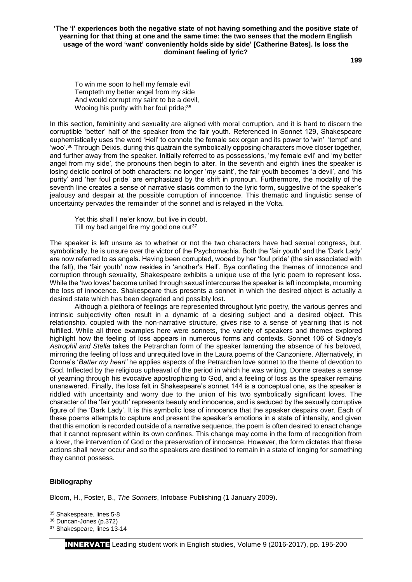**'The 'I' experiences both the negative state of not having something and the positive state of yearning for that thing at one and the same time: the two senses that the modern English usage of the word 'want' conveniently holds side by side' [Catherine Bates]. Is loss the dominant feeling of lyric?**

**199**

To win me soon to hell my female evil Tempteth my better angel from my side And would corrupt my saint to be a devil, Wooing his purity with her foul pride;<sup>35</sup>

In this section, femininity and sexuality are aligned with moral corruption, and it is hard to discern the corruptible 'better' half of the speaker from the fair youth. Referenced in Sonnet 129, Shakespeare euphemistically uses the word 'Hell' to connote the female sex organ and its power to 'win' 'tempt' and 'woo'.<sup>36</sup> Through Deixis, during this quatrain the symbolically opposing characters move closer together, and further away from the speaker. Initially referred to as possessions, 'my female evil' and 'my better angel from my side', the pronouns then begin to alter. In the seventh and eighth lines the speaker is losing deictic control of both characters: no longer '*my* saint', the fair youth becomes '*a* devil', and 'his purity' and 'her foul pride' are emphasized by the shift in pronoun. Furthermore, the modality of the seventh line creates a sense of narrative stasis common to the lyric form, suggestive of the speaker's jealousy and despair at the possible corruption of innocence. This thematic and linguistic sense of uncertainty pervades the remainder of the sonnet and is relayed in the Volta.

Yet this shall I ne'er know, but live in doubt, Till my bad angel fire my good one out $37$ 

The speaker is left unsure as to whether or not the two characters have had sexual congress, but, symbolically, he is unsure over the victor of the Psychomachia. Both the 'fair youth' and the 'Dark Lady' are now referred to as angels. Having been corrupted, wooed by her 'foul pride' (the sin associated with the fall), the 'fair youth' now resides in 'another's Hell'. Bya conflating the themes of innocence and corruption through sexuality, Shakespeare exhibits a unique use of the lyric poem to represent loss. While the 'two loves' become united through sexual intercourse the speaker is left incomplete, mourning the loss of innocence. Shakespeare thus presents a sonnet in which the desired object is actually a desired state which has been degraded and possibly lost.

Although a plethora of feelings are represented throughout lyric poetry, the various genres and intrinsic subjectivity often result in a dynamic of a desiring subject and a desired object. This relationship, coupled with the non-narrative structure, gives rise to a sense of yearning that is not fulfilled. While all three examples here were sonnets, the variety of speakers and themes explored highlight how the feeling of loss appears in numerous forms and contexts. Sonnet 106 of Sidney's *Astrophil and Stella* takes the Petrarchan form of the speaker lamenting the absence of his beloved, mirroring the feeling of loss and unrequited love in the Laura poems of the Canzoniere. Alternatively, in Donne's '*Batter my heart'* he applies aspects of the Petrarchan love sonnet to the theme of devotion to God. Inflected by the religious upheaval of the period in which he was writing, Donne creates a sense of yearning through his evocative apostrophizing to God, and a feeling of loss as the speaker remains unanswered. Finally, the loss felt in Shakespeare's sonnet 144 is a conceptual one, as the speaker is riddled with uncertainty and worry due to the union of his two symbolically significant loves. The character of the 'fair youth' represents beauty and innocence, and is seduced by the sexually corruptive figure of the 'Dark Lady'. It is this symbolic loss of innocence that the speaker despairs over. Each of these poems attempts to capture and present the speaker's emotions in a state of intensity, and given that this emotion is recorded outside of a narrative sequence, the poem is often desired to enact change that it cannot represent within its own confines. This change may come in the form of recognition from a lover, the intervention of God or the preservation of innocence. However, the form dictates that these actions shall never occur and so the speakers are destined to remain in a state of longing for something they cannot possess.

## **Bibliography**

 $\overline{\phantom{a}}$ 

Bloom, H., Foster, B., *The Sonnets*, Infobase Publishing (1 January 2009).

<sup>35</sup> Shakespeare, lines 5-8

<sup>36</sup> Duncan-Jones (p.372)

<sup>37</sup> Shakespeare, lines 13-14